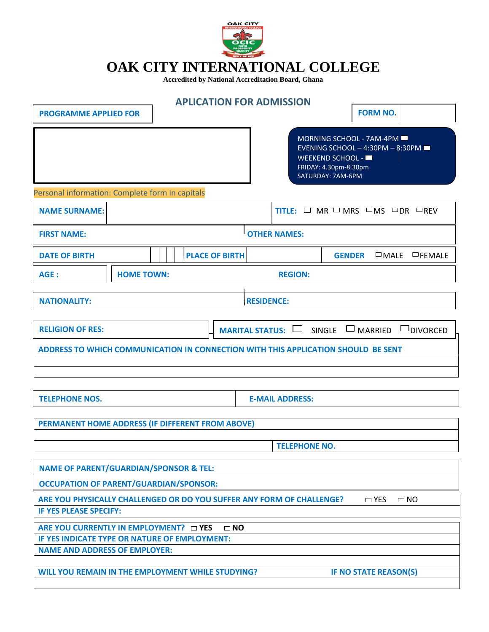

## **OAK CITY INTERNATIONAL COLLEGE**

**Accredited by National Accreditation Board, Ghana**

|                                                                                                        | <b>APLICATION FOR ADMISSION</b> |                        |                                                                                                                                |
|--------------------------------------------------------------------------------------------------------|---------------------------------|------------------------|--------------------------------------------------------------------------------------------------------------------------------|
| <b>PROGRAMME APPLIED FOR</b>                                                                           |                                 |                        | <b>FORM NO.</b>                                                                                                                |
|                                                                                                        |                                 |                        | MORNING SCHOOL - 7AM-4PM<br>EVENING SCHOOL - 4:30PM - 8:30PM<br>WEEKEND SCHOOL -<br>FRIDAY: 4.30pm-8.30pm<br>SATURDAY: 7AM-6PM |
| Personal information: Complete form in capitals                                                        |                                 |                        |                                                                                                                                |
| <b>NAME SURNAME:</b>                                                                                   |                                 |                        | TITLE: $\Box$ MR $\Box$ MRS $\Box$ MS $\Box$ DR $\Box$ REV                                                                     |
| <b>FIRST NAME:</b>                                                                                     |                                 | <b>OTHER NAMES:</b>    |                                                                                                                                |
| <b>DATE OF BIRTH</b>                                                                                   | <b>PLACE OF BIRTH</b>           |                        | <b>GENDER</b><br>$\Box$ MALE $\Box$ FEMALE                                                                                     |
| <b>HOME TOWN:</b><br>AGE :                                                                             |                                 | <b>REGION:</b>         |                                                                                                                                |
| <b>NATIONALITY:</b>                                                                                    |                                 | <b>RESIDENCE:</b>      |                                                                                                                                |
| <b>RELIGION OF RES:</b>                                                                                |                                 | <b>MARITAL STATUS:</b> | $SINGLE \quad \Box$ MARRIED<br>$\Box$ DIVORCED                                                                                 |
| ADDRESS TO WHICH COMMUNICATION IN CONNECTION WITH THIS APPLICATION SHOULD BE SENT                      |                                 |                        |                                                                                                                                |
|                                                                                                        |                                 |                        |                                                                                                                                |
| <b>TELEPHONE NOS.</b>                                                                                  |                                 | <b>E-MAIL ADDRESS:</b> |                                                                                                                                |
| PERMANENT HOME ADDRESS (IF DIFFERENT FROM ABOVE)                                                       |                                 |                        |                                                                                                                                |
|                                                                                                        |                                 | <b>TELEPHONE NO.</b>   |                                                                                                                                |
| <b>NAME OF PARENT/GUARDIAN/SPONSOR &amp; TEL:</b>                                                      |                                 |                        |                                                                                                                                |
| <b>OCCUPATION OF PARENT/GUARDIAN/SPONSOR:</b>                                                          |                                 |                        |                                                                                                                                |
| ARE YOU PHYSICALLY CHALLENGED OR DO YOU SUFFER ANY FORM OF CHALLENGE?<br><b>IF YES PLEASE SPECIFY:</b> |                                 |                        | $\Box$ YES<br>$\square$ NO                                                                                                     |
| ARE YOU CURRENTLY IN EMPLOYMENT? DYES                                                                  | $\square$ NO                    |                        |                                                                                                                                |
| IF YES INDICATE TYPE OR NATURE OF EMPLOYMENT:<br><b>NAME AND ADDRESS OF EMPLOYER:</b>                  |                                 |                        |                                                                                                                                |
|                                                                                                        |                                 |                        |                                                                                                                                |
| WILL YOU REMAIN IN THE EMPLOYMENT WHILE STUDYING?                                                      |                                 |                        | IF NO STATE REASON(S)                                                                                                          |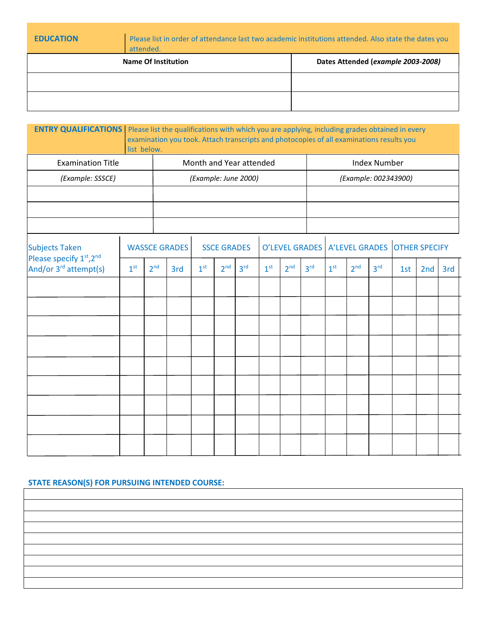| <b>EDUCATION</b> | Please list in order of attendance last two academic institutions attended. Also state the dates you<br>attended. |                                    |
|------------------|-------------------------------------------------------------------------------------------------------------------|------------------------------------|
|                  | <b>Name Of Institution</b>                                                                                        | Dates Attended (example 2003-2008) |
|                  |                                                                                                                   |                                    |
|                  |                                                                                                                   |                                    |

| <b>ENTRY QUALIFICATIONS</b>   Please list the qualifications with which you are applying, including grades obtained in every |                 | list below.     | examination you took. Attach transcripts and photocopies of all examinations results you |                 |                    |                         |                 |                 |                                                 |                 |                 |                     |     |     |     |
|------------------------------------------------------------------------------------------------------------------------------|-----------------|-----------------|------------------------------------------------------------------------------------------|-----------------|--------------------|-------------------------|-----------------|-----------------|-------------------------------------------------|-----------------|-----------------|---------------------|-----|-----|-----|
| <b>Examination Title</b>                                                                                                     |                 |                 |                                                                                          |                 |                    | Month and Year attended |                 |                 |                                                 |                 |                 | <b>Index Number</b> |     |     |     |
| (Example: SSSCE)                                                                                                             |                 |                 | (Example: June 2000)                                                                     |                 |                    |                         |                 |                 | (Example: 002343900)                            |                 |                 |                     |     |     |     |
|                                                                                                                              |                 |                 |                                                                                          |                 |                    |                         |                 |                 |                                                 |                 |                 |                     |     |     |     |
|                                                                                                                              |                 |                 |                                                                                          |                 |                    |                         |                 |                 |                                                 |                 |                 |                     |     |     |     |
|                                                                                                                              |                 |                 |                                                                                          |                 |                    |                         |                 |                 |                                                 |                 |                 |                     |     |     |     |
| <b>Subjects Taken</b><br>Please specify 1st, 2nd                                                                             |                 |                 | <b>WASSCE GRADES</b>                                                                     |                 | <b>SSCE GRADES</b> |                         |                 |                 | O'LEVEL GRADES   A'LEVEL GRADES   OTHER SPECIFY |                 |                 |                     |     |     |     |
| And/or 3 <sup>rd</sup> attempt(s)                                                                                            | 1 <sup>st</sup> | 2 <sup>nd</sup> | 3rd                                                                                      | 1 <sup>st</sup> | 2 <sup>nd</sup>    | 3 <sup>rd</sup>         | 1 <sup>st</sup> | 2 <sup>nd</sup> | 3 <sup>rd</sup>                                 | 1 <sup>st</sup> | 2 <sup>nd</sup> | 3 <sup>rd</sup>     | 1st | 2nd | 3rd |
|                                                                                                                              |                 |                 |                                                                                          |                 |                    |                         |                 |                 |                                                 |                 |                 |                     |     |     |     |
|                                                                                                                              |                 |                 |                                                                                          |                 |                    |                         |                 |                 |                                                 |                 |                 |                     |     |     |     |
|                                                                                                                              |                 |                 |                                                                                          |                 |                    |                         |                 |                 |                                                 |                 |                 |                     |     |     |     |
|                                                                                                                              |                 |                 |                                                                                          |                 |                    |                         |                 |                 |                                                 |                 |                 |                     |     |     |     |
|                                                                                                                              |                 |                 |                                                                                          |                 |                    |                         |                 |                 |                                                 |                 |                 |                     |     |     |     |
|                                                                                                                              |                 |                 |                                                                                          |                 |                    |                         |                 |                 |                                                 |                 |                 |                     |     |     |     |
|                                                                                                                              |                 |                 |                                                                                          |                 |                    |                         |                 |                 |                                                 |                 |                 |                     |     |     |     |
|                                                                                                                              |                 |                 |                                                                                          |                 |                    |                         |                 |                 |                                                 |                 |                 |                     |     |     |     |
|                                                                                                                              |                 |                 |                                                                                          |                 |                    |                         |                 |                 |                                                 |                 |                 |                     |     |     |     |

## **STATE REASON(S) FOR PURSUING INTENDED COURSE:**